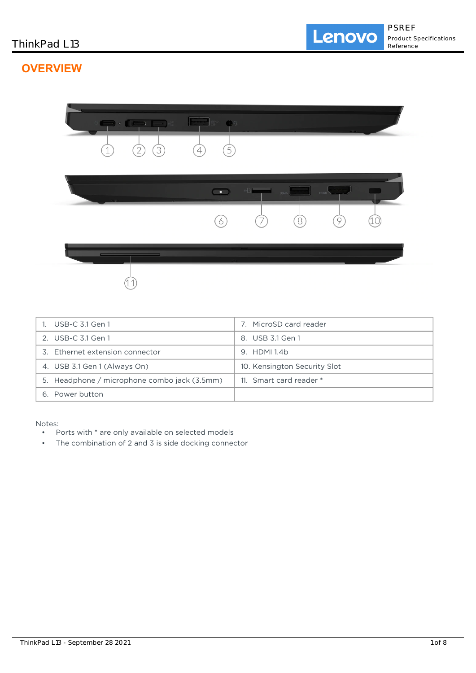# **OVERVIEW**



| 1. USB-C 3.1 Gen 1                           | MicroSD card reader<br>7     |
|----------------------------------------------|------------------------------|
| 2. USB-C 3.1 Gen 1                           | 8. USB 3.1 Gen 1             |
| 3. Ethernet extension connector              | 9. HDMI 1.4b                 |
| 4. USB 3.1 Gen 1 (Always On)                 | 10. Kensington Security Slot |
| 5. Headphone / microphone combo jack (3.5mm) | 11. Smart card reader *      |
| 6. Power button                              |                              |

Notes:

- Ports with \* are only available on selected models
- The combination of 2 and 3 is side docking connector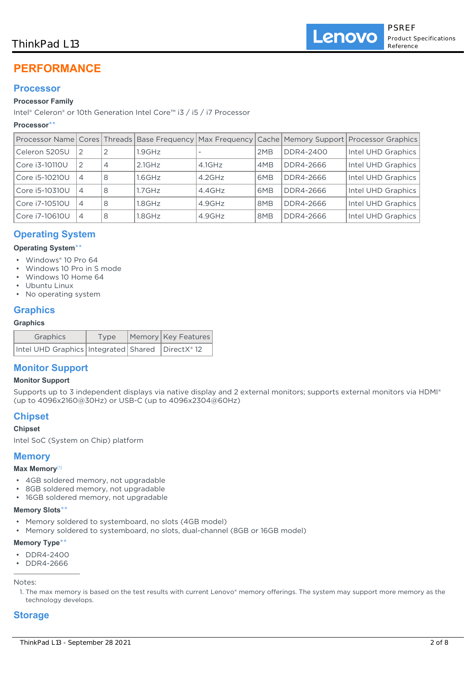# ThinkPad L13

# **PERFORMANCE**

# **Processor**

# **Processor Family**

Intel® Celeron® or 10th Generation Intel Core™ i3 / i5 / i7 Processor

## **Processor**\*\*

|                |                |                |           |           |     |           | Processor Name   Cores   Threads   Base Frequency   Max Frequency   Cache   Memory Support   Processor Graphics |
|----------------|----------------|----------------|-----------|-----------|-----|-----------|-----------------------------------------------------------------------------------------------------------------|
| Celeron 5205U  | 2              |                | $1.9$ GHz |           | 2MB | DDR4-2400 | Intel UHD Graphics                                                                                              |
| Core i3-10110U | 2              | $\overline{4}$ | $2.1$ GHz | $4.1$ GHz | 4MB | DDR4-2666 | Intel UHD Graphics                                                                                              |
| Core i5-10210U | 4              | 8              | $1.6$ GHz | $4.2$ GHz | 6MB | DDR4-2666 | Intel UHD Graphics                                                                                              |
| Core i5-10310U | $\overline{4}$ | 8              | $1.7$ GHz | 4.4GHz    | 6MB | DDR4-2666 | Intel UHD Graphics                                                                                              |
| Core i7-10510U | 4              | 8              | $1.8$ GHz | 4.9GHz    | 8MB | DDR4-2666 | Intel UHD Graphics                                                                                              |
| Core i7-10610U | 4              | 8              | $1.8$ GHz | 4.9GHz    | 8MB | DDR4-2666 | Intel UHD Graphics                                                                                              |

# **Operating System**

## **Operating System**\*\*

- Windows® 10 Pro 64
- Windows 10 Pro in S mode
- Windows 10 Home 64
- Ubuntu Linux
- No operating system

## **Graphics**

### **Graphics**

| Graphics                                               | Type | Memory Key Features |
|--------------------------------------------------------|------|---------------------|
| Intel UHD Graphics   Integrated   Shared   DirectX® 12 |      |                     |

# **Monitor Support**

## **Monitor Support**

Supports up to 3 independent displays via native display and 2 external monitors; supports external monitors via HDMI® (up to 4096x2160@30Hz) or USB-C (up to 4096x2304@60Hz)

# **Chipset**

## **Chipset**

Intel SoC (System on Chip) platform

## **Memory**

## **Max Memory**[1]

- 4GB soldered memory, not upgradable
- 8GB soldered memory, not upgradable
- 16GB soldered memory, not upgradable

## **Memory Slots**\*\*

- Memory soldered to systemboard, no slots (4GB model)
- Memory soldered to systemboard, no slots, dual-channel (8GB or 16GB model)

## **Memory Type**\*\*

- DDR4-2400
- DDR4-2666

Notes:

1. The max memory is based on the test results with current Lenovo® memory offerings. The system may support more memory as the technology develops.

# **Storage**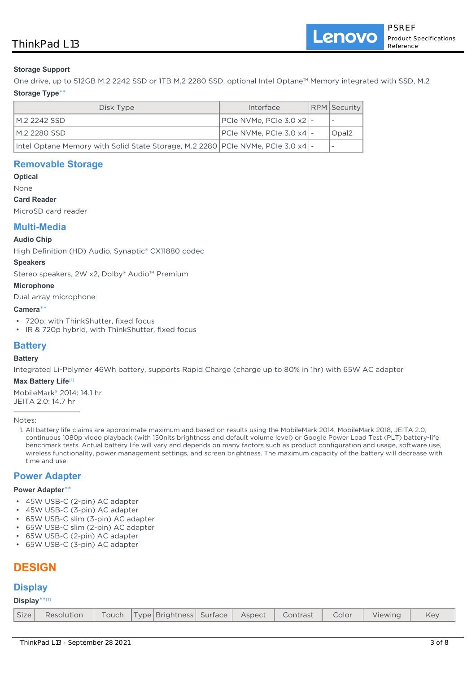Lenovo

## **Storage Support**

One drive, up to 512GB M.2 2242 SSD or 1TB M.2 2280 SSD, optional Intel Optane™ Memory integrated with SSD, M.2

## **Storage Type**\*\*

| Disk Type                                                                           | Interface                       | RPM   Security    |
|-------------------------------------------------------------------------------------|---------------------------------|-------------------|
| IM 2 2242 SSD.                                                                      | $ PC$ le NVMe, PCIe 3.0 x2 $ -$ |                   |
| I M.2 2280 SSD                                                                      | PCIe NVMe. PCIe 3.0 x4 -        | Opal <sub>2</sub> |
| Intel Optane Memory with Solid State Storage, M.2 2280   PCIe NVMe, PCIe 3.0 x4   - |                                 |                   |

## **Removable Storage**

**Optical** None

## **Card Reader**

MicroSD card reader

## **Multi-Media**

### **Audio Chip**

High Definition (HD) Audio, Synaptic® CX11880 codec

### **Speakers**

Stereo speakers, 2W x2, Dolby® Audio™ Premium

### **Microphone**

Dual array microphone

#### **Camera**\*\*

- 720p, with ThinkShutter, fixed focus
- IR & 720p hybrid, with ThinkShutter, fixed focus

# **Battery**

## **Battery**

Integrated Li-Polymer 46Wh battery, supports Rapid Charge (charge up to 80% in 1hr) with 65W AC adapter

### **Max Battery Life**[1]

MobileMark® 2014: 14.1 hr JEITA 2.0: 14.7 hr

Notes:

1. All battery life claims are approximate maximum and based on results using the MobileMark 2014, MobileMark 2018, JEITA 2.0, continuous 1080p video playback (with 150nits brightness and default volume level) or Google Power Load Test (PLT) battery-life benchmark tests. Actual battery life will vary and depends on many factors such as product configuration and usage, software use, wireless functionality, power management settings, and screen brightness. The maximum capacity of the battery will decrease with time and use.

## **Power Adapter**

#### **Power Adapter**\*\*

- 45W USB-C (2-pin) AC adapter
- 45W USB-C (3-pin) AC adapter
- 65W USB-C slim (3-pin) AC adapter
- 65W USB-C slim (2-pin) AC adapter
- 65W USB-C (2-pin) AC adapter
- 65W USB-C (3-pin) AC adapter

# **DESIGN**

# **Display**

## **Display**\*\* [1]

| Size Resolution Touch Type Brightness Surface Aspect Contrast Color Viewing<br>Key |
|------------------------------------------------------------------------------------|
|------------------------------------------------------------------------------------|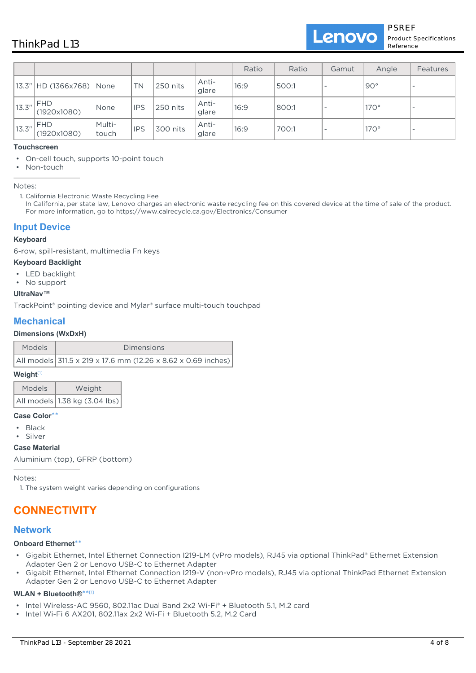|        |                              |                 |            |          |                | Ratio | Ratio | Gamut | Angle        | Features                 |
|--------|------------------------------|-----------------|------------|----------|----------------|-------|-------|-------|--------------|--------------------------|
|        | 13.3"   HD (1366x768)   None |                 | <b>TN</b>  | 250 nits | Anti-<br>glare | 16:9  | 500:1 |       | $90^{\circ}$ | $\overline{\phantom{a}}$ |
| 13.3'' | <b>FHD</b><br>(1920x1080)    | <b>None</b>     | <b>IPS</b> | 250 nits | Anti-<br>glare | 16:9  | 800:1 |       | $170^\circ$  | $\overline{\phantom{a}}$ |
| 13.3'' | <b>FHD</b><br>(1920x1080)    | Multi-<br>touch | <b>IPS</b> | 300 nits | Anti-<br>glare | 16:9  | 700:1 |       | $170^\circ$  | $\overline{\phantom{a}}$ |

#### **Touchscreen**

- On-cell touch, supports 10-point touch
- Non-touch

Notes:

1. California Electronic Waste Recycling Fee In California, per state law, Lenovo charges an electronic waste recycling fee on this covered device at the time of sale of the product. For more information, go to https://www.calrecycle.ca.gov/Electronics/Consumer

## **Input Device**

#### **Keyboard**

6-row, spill-resistant, multimedia Fn keys

#### **Keyboard Backlight**

- LED backlight
- No support

#### **UltraNav™**

TrackPoint® pointing device and Mylar® surface multi-touch touchpad

# **Mechanical**

### **Dimensions (WxDxH)**

| <b>Models</b> | Dimensions                                                    |
|---------------|---------------------------------------------------------------|
|               | All models 311.5 x 219 x 17.6 mm (12.26 x 8.62 x 0.69 inches) |

### **Weight**[1]

| <b>Models</b> | Weight                                                   |
|---------------|----------------------------------------------------------|
|               | $ \!\! $ All models $ \!\! $ 1.38 kg (3.04 lbs) $ \!\! $ |

#### **Case Color**\*\*

- Black
- Silver

### **Case Material**

Aluminium (top), GFRP (bottom)

Notes:

1. The system weight varies depending on configurations

# **CONNECTIVITY**

## **Network**

### **Onboard Ethernet**\*\*

- Gigabit Ethernet, Intel Ethernet Connection I219-LM (vPro models), RJ45 via optional ThinkPad® Ethernet Extension Adapter Gen 2 or Lenovo USB-C to Ethernet Adapter
- Gigabit Ethernet, Intel Ethernet Connection I219-V (non-vPro models), RJ45 via optional ThinkPad Ethernet Extension Adapter Gen 2 or Lenovo USB-C to Ethernet Adapter •

### **WLAN + Bluetooth®**\*\* [1]

- Intel Wireless-AC 9560, 802.11ac Dual Band 2x2 Wi-Fi® + Bluetooth 5.1, M.2 card
- Intel Wi-Fi 6 AX201, 802.11ax 2x2 Wi-Fi + Bluetooth 5.2, M.2 Card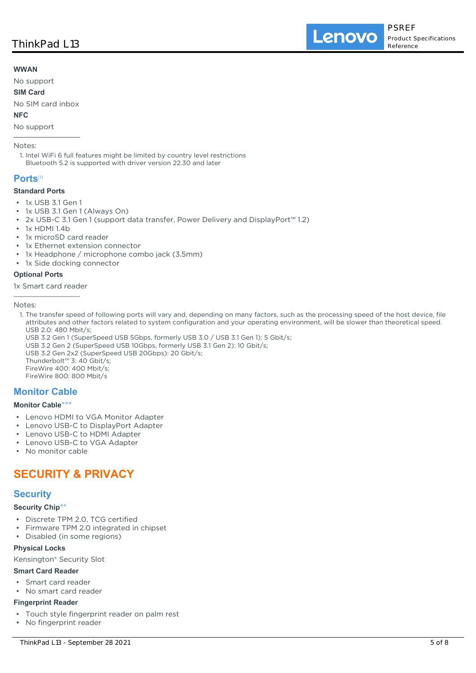### **WWAN**

No support

### **SIM Card**

No SIM card inbox

## **NFC**

No support

### Notes:

1. Intel WiFi 6 full features might be limited by country level restrictions Bluetooth 5.2 is supported with driver version 22.30 and later

## **Ports**[1]

### **Standard Ports**

- 1x USB 3.1 Gen 1
- 1x USB 3.1 Gen 1 (Always On)
- 2x USB-C 3.1 Gen 1 (support data transfer, Power Delivery and DisplayPort™ 1.2)
- 1x HDMI 1.4b
- 1x microSD card reader
- 1x Ethernet extension connector
- 1x Headphone / microphone combo jack (3.5mm)
- 1x Side docking connector

### **Optional Ports**

1x Smart card reader

Notes:

- 1. The transfer speed of following ports will vary and, depending on many factors, such as the processing speed of the host device, file attributes and other factors related to system configuration and your operating environment, will be slower than theoretical speed. USB 2.0: 480 Mbit/s;
- USB 3.2 Gen 1 (SuperSpeed USB 5Gbps, formerly USB 3.0 / USB 3.1 Gen 1): 5 Gbit/s;

USB 3.2 Gen 2 (SuperSpeed USB 10Gbps, formerly USB 3.1 Gen 2): 10 Gbit/s;

USB 3.2 Gen 2x2 (SuperSpeed USB 20Gbps): 20 Gbit/s; Thunderbolt™ 3: 40 Gbit/s; FireWire 400: 400 Mbit/s; FireWire 800: 800 Mbit/s

# **Monitor Cable**

## **Monitor Cable**\*\*\*

- Lenovo HDMI to VGA Monitor Adapter
- Lenovo USB-C to DisplayPort Adapter
- Lenovo USB-C to HDMI Adapter
- Lenovo USB-C to VGA Adapter
- No monitor cable

# **SECURITY & PRIVACY**

# **Security**

### **Security Chip**\*\*

- Discrete TPM 2.0, TCG certified
- Firmware TPM 2.0 integrated in chipset
- Disabled (in some regions)

### **Physical Locks**

Kensington® Security Slot

### **Smart Card Reader**

- Smart card reader
- No smart card reader

### **Fingerprint Reader**

- Touch style fingerprint reader on palm rest
- No fingerprint reader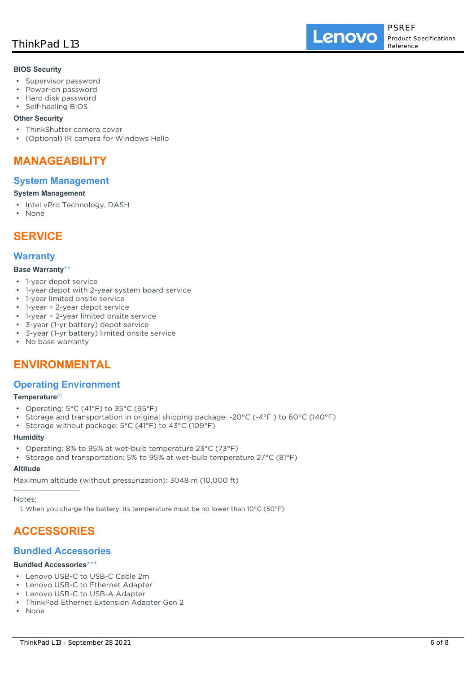Lenovo

### **BIOS Security**

- Supervisor password
- Power-on password
- Hard disk password
- Self-healing BIOS

## **Other Security**

- ThinkShutter camera cover
- (Optional) IR camera for Windows Hello

# **MANAGEABILITY**

## **System Management**

### **System Management**

- Intel vPro Technology, DASH
- None

# **SERVICE**

## **Warranty**

### **Base Warranty**\*\*

- 1-year depot service
- 1-year depot with 2-year system board service
- 1-year limited onsite service
- 1-year + 2-year depot service
- 1-year + 2-year limited onsite service
- 3-year (1-yr battery) depot service
- 3-year (1-yr battery) limited onsite service
- No base warranty

# **ENVIRONMENTAL**

# **Operating Environment**

### **Temperature**[1]

- Operating: 5°C (41°F) to 35°C (95°F)
- Storage and transportation in original shipping package: -20°C (-4°F ) to 60°C (140°F)
- Storage without package: 5°C (41°F) to 43°C (109°F)

#### **Humidity**

- Operating: 8% to 95% at wet-bulb temperature 23°C (73°F)
- Storage and transportation: 5% to 95% at wet-bulb temperature 27°C (81°F)

#### **Altitude**

Maximum altitude (without pressurization): 3048 m (10,000 ft)

Notes:

1. When you charge the battery, its temperature must be no lower than 10°C (50°F)

# **ACCESSORIES**

## **Bundled Accessories**

### **Bundled Accessories**\*\*\*

- Lenovo USB-C to USB-C Cable 2m
- Lenovo USB-C to Ethernet Adapter
- Lenovo USB-C to USB-A Adapter
- ThinkPad Ethernet Extension Adapter Gen 2
- None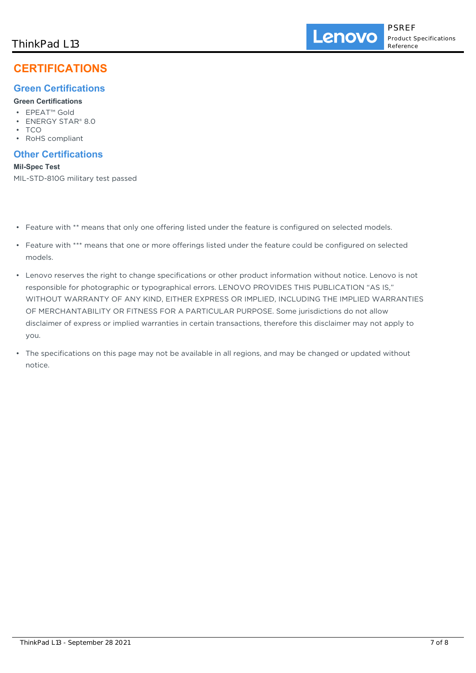# **CERTIFICATIONS**

# **Green Certifications**

## **Green Certifications**

- EPEAT™ Gold
- ENERGY STAR® 8.0
- TCO
- RoHS compliant

# **Other Certifications**

**Mil-Spec Test** MIL-STD-810G military test passed

- Feature with \*\* means that only one offering listed under the feature is configured on selected models.
- Feature with \*\*\* means that one or more offerings listed under the feature could be configured on selected models.
- Lenovo reserves the right to change specifications or other product information without notice. Lenovo is not responsible for photographic or typographical errors. LENOVO PROVIDES THIS PUBLICATION "AS IS," WITHOUT WARRANTY OF ANY KIND, EITHER EXPRESS OR IMPLIED, INCLUDING THE IMPLIED WARRANTIES OF MERCHANTABILITY OR FITNESS FOR A PARTICULAR PURPOSE. Some jurisdictions do not allow disclaimer of express or implied warranties in certain transactions, therefore this disclaimer may not apply to you.
- The specifications on this page may not be available in all regions, and may be changed or updated without notice.